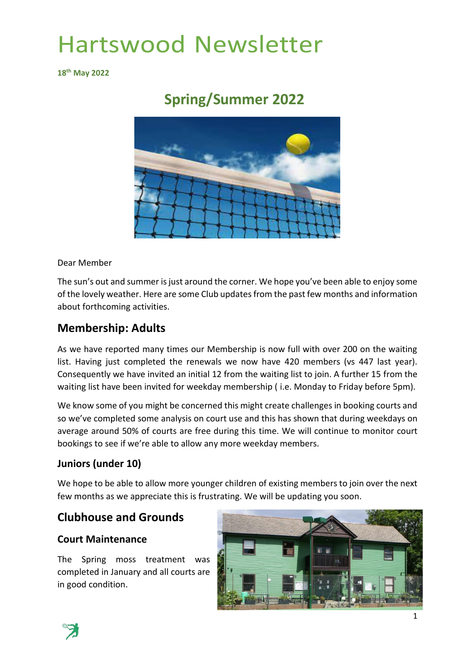**18 th May 2022**

## **Spring/Summer 2022**



Dear Member

The sun's out and summer is just around the corner. We hope you've been able to enjoy some of the lovely weather. Here are some Club updates from the past few months and information about forthcoming activities.

### **Membership: Adults**

As we have reported many times our Membership is now full with over 200 on the waiting list. Having just completed the renewals we now have 420 members (vs 447 last year). Consequently we have invited an initial 12 from the waiting list to join. A further 15 from the waiting list have been invited for weekday membership ( i.e. Monday to Friday before 5pm).

We know some of you might be concerned this might create challenges in booking courts and so we've completed some analysis on court use and this has shown that during weekdays on average around 50% of courts are free during this time. We will continue to monitor court bookings to see if we're able to allow any more weekday members.

#### **Juniors (under 10)**

We hope to be able to allow more younger children of existing members to join over the next few months as we appreciate this is frustrating. We will be updating you soon.

### **Clubhouse and Grounds**

#### **Court Maintenance**

The Spring moss treatment was completed in January and all courts are in good condition.



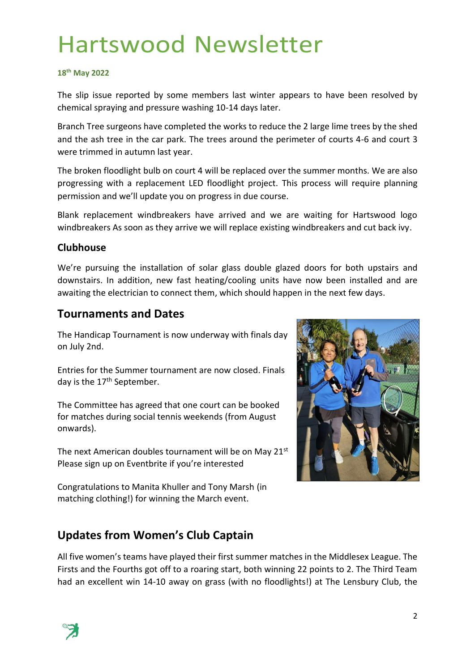#### **18 th May 2022**

The slip issue reported by some members last winter appears to have been resolved by chemical spraying and pressure washing 10-14 days later.

Branch Tree surgeons have completed the works to reduce the 2 large lime trees by the shed and the ash tree in the car park. The trees around the perimeter of courts 4-6 and court 3 were trimmed in autumn last year.

The broken floodlight bulb on court 4 will be replaced over the summer months. We are also progressing with a replacement LED floodlight project. This process will require planning permission and we'll update you on progress in due course.

Blank replacement windbreakers have arrived and we are waiting for Hartswood logo windbreakers As soon as they arrive we will replace existing windbreakers and cut back ivy.

#### **Clubhouse**

We're pursuing the installation of solar glass double glazed doors for both upstairs and downstairs. In addition, new fast heating/cooling units have now been installed and are awaiting the electrician to connect them, which should happen in the next few days.

#### **Tournaments and Dates**

The Handicap Tournament is now underway with finals day on July 2nd.

Entries for the Summer tournament are now closed. Finals day is the 17<sup>th</sup> September.

The Committee has agreed that one court can be booked for matches during social tennis weekends (from August onwards).

The next American doubles tournament will be on May 21<sup>st</sup> Please sign up on Eventbrite if you're interested

Congratulations to Manita Khuller and Tony Marsh (in matching clothing!) for winning the March event.



## **Updates from Women's Club Captain**

All five women's teams have played their first summer matches in the Middlesex League. The Firsts and the Fourths got off to a roaring start, both winning 22 points to 2. The Third Team had an excellent win 14-10 away on grass (with no floodlights!) at The Lensbury Club, the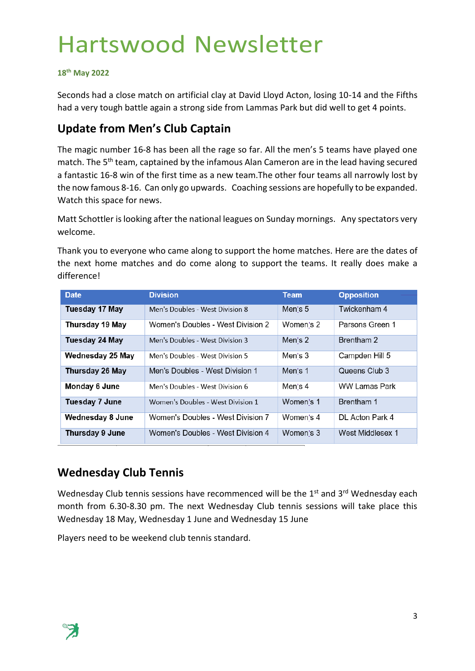#### **18 th May 2022**

Seconds had a close match on artificial clay at David Lloyd Acton, losing 10-14 and the Fifths had a very tough battle again a strong side from Lammas Park but did well to get 4 points.

### **Update from Men's Club Captain**

The magic number 16-8 has been all the rage so far. All the men's 5 teams have played one match. The 5<sup>th</sup> team, captained by the infamous Alan Cameron are in the lead having secured a fantastic 16-8 win of the first time as a new team.The other four teams all narrowly lost by the now famous 8-16. Can only go upwards. Coaching sessions are hopefully to be expanded. Watch this space for news.

Matt Schottler is looking after the national leagues on Sunday mornings. Any spectators very welcome.

Thank you to everyone who came along to support the home matches. Here are the dates of the next home matches and do come along to support the teams. It really does make a difference!

| <b>Date</b>           | <b>Division</b>                   | <b>Team</b> | <b>Opposition</b>    |
|-----------------------|-----------------------------------|-------------|----------------------|
| Tuesday 17 May        | Men's Doubles - West Division 8   | Men's 5     | Twickenham 4         |
| Thursday 19 May       | Women's Doubles - West Division 2 | Women's 2   | Parsons Green 1      |
| Tuesday 24 May        | Men's Doubles - West Division 3   | Men's 2     | Brentham 2           |
| Wednesday 25 May      | Men's Doubles - West Division 5   | Men's 3     | Campden Hill 5       |
| Thursday 26 May       | Men's Doubles - West Division 1   | Men's 1     | Queens Club 3        |
| Monday 6 June         | Men's Doubles - West Division 6   | Men's 4     | <b>WW Lamas Park</b> |
| <b>Tuesday 7 June</b> | Women's Doubles - West Division 1 | Women's 1   | Brentham 1           |
| Wednesday 8 June      | Women's Doubles - West Division 7 | Women's 4   | DL Acton Park 4      |
| Thursday 9 June       | Women's Doubles - West Division 4 | Women's 3   | West Middlesex 1     |

### **Wednesday Club Tennis**

Wednesday Club tennis sessions have recommenced will be the 1<sup>st</sup> and 3<sup>rd</sup> Wednesday each month from 6.30-8.30 pm. The next Wednesday Club tennis sessions will take place this Wednesday 18 May, Wednesday 1 June and Wednesday 15 June

Players need to be weekend club tennis standard.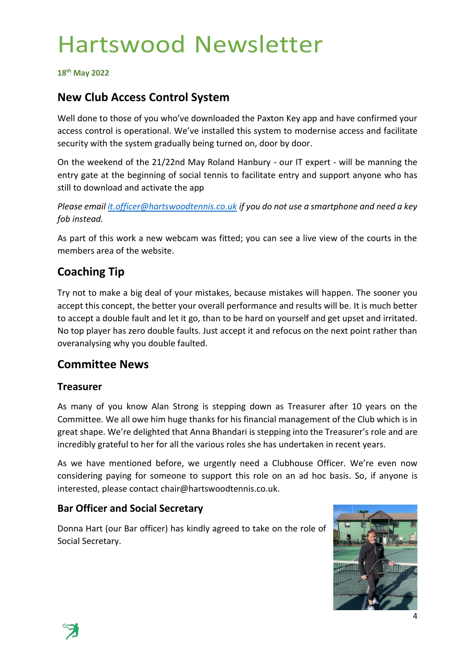**18 th May 2022**

### **New Club Access Control System**

Well done to those of you who've downloaded the Paxton Key app and have confirmed your access control is operational. We've installed this system to modernise access and facilitate security with the system gradually being turned on, door by door.

On the weekend of the 21/22nd May Roland Hanbury - our IT expert - will be manning the entry gate at the beginning of social tennis to facilitate entry and support anyone who has still to download and activate the app

*Please email [it.officer@hartswoodtennis.co.uk](mailto:it.officer@hartswoodtennis.co.uk) if you do not use a smartphone and need a key fob instead.*

As part of this work a new webcam was fitted; you can see a live view of the courts in the members area of the website.

## **Coaching Tip**

Try not to make a big deal of your mistakes, because mistakes will happen. The sooner you accept this concept, the better your overall performance and results will be. It is much better to accept a double fault and let it go, than to be hard on yourself and get upset and irritated. No top player has zero double faults. Just accept it and refocus on the next point rather than overanalysing why you double faulted.

#### **Committee News**

#### **Treasurer**

As many of you know Alan Strong is stepping down as Treasurer after 10 years on the Committee. We all owe him huge thanks for his financial management of the Club which is in great shape. We're delighted that Anna Bhandari is stepping into the Treasurer's role and are incredibly grateful to her for all the various roles she has undertaken in recent years.

As we have mentioned before, we urgently need a Clubhouse Officer. We're even now considering paying for someone to support this role on an ad hoc basis. So, if anyone is interested, please contact chair@hartswoodtennis.co.uk.

#### **Bar Officer and Social Secretary**

Donna Hart (our Bar officer) has kindly agreed to take on the role of Social Secretary.